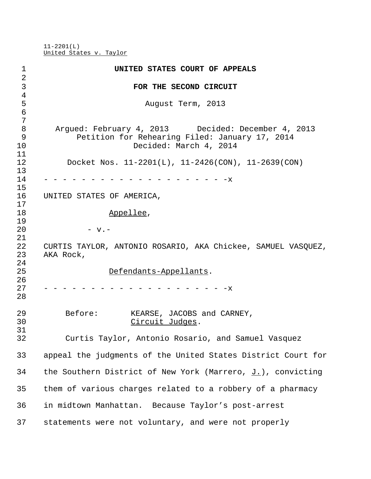11-2201(L) United States v. Taylor

| 1                   | UNITED STATES COURT OF APPEALS                                            |
|---------------------|---------------------------------------------------------------------------|
| $\overline{a}$      |                                                                           |
| 3                   | FOR THE SECOND CIRCUIT                                                    |
| $\overline{4}$<br>5 | August Term, 2013                                                         |
| $\epsilon$<br>7     |                                                                           |
| 8                   | Argued: February 4, 2013 Decided: December 4, 2013                        |
| 9                   | Petition for Rehearing Filed: January 17, 2014                            |
| 10                  | Decided: March 4, 2014                                                    |
| 11                  |                                                                           |
| 12                  | Docket Nos. $11-2201(L)$ , $11-2426(CON)$ , $11-2639(CON)$                |
| 13                  |                                                                           |
| 14                  | $-x$                                                                      |
| 15                  |                                                                           |
| 16                  | UNITED STATES OF AMERICA,                                                 |
| 17                  |                                                                           |
| 18<br>19            | Appellee,                                                                 |
| 20                  | $-$ v. $-$                                                                |
| 21                  |                                                                           |
| 22<br>23            | CURTIS TAYLOR, ANTONIO ROSARIO, AKA Chickee, SAMUEL VASQUEZ,<br>AKA Rock, |
| 24<br>25<br>26      | Defendants-Appellants.                                                    |
| 27<br>28            | $-x$                                                                      |
| 29<br>30            | Before:<br>KEARSE, JACOBS and CARNEY,<br>Circuit Judges.                  |
| 31<br>32            | Curtis Taylor, Antonio Rosario, and Samuel Vasquez                        |
| 33                  | appeal the judgments of the United States District Court for              |
| 34                  | the Southern District of New York (Marrero, $J.$ ), convicting            |
| 35                  | them of various charges related to a robbery of a pharmacy                |
| 36                  | in midtown Manhattan. Because Taylor's post-arrest                        |
| 37                  | statements were not voluntary, and were not properly                      |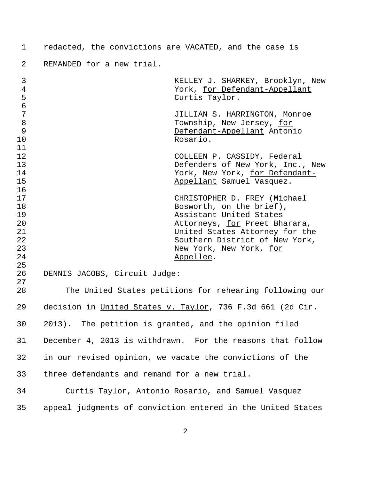redacted, the convictions are VACATED, and the case is

REMANDED for a new trial.

| $\mathsf{3}$<br>$\overline{4}$<br>5<br>$\epsilon$  |                                                             | KELLEY J. SHARKEY, Brooklyn, New<br>York, for Defendant-Appellant<br>Curtis Taylor.                                                                                                                                              |
|----------------------------------------------------|-------------------------------------------------------------|----------------------------------------------------------------------------------------------------------------------------------------------------------------------------------------------------------------------------------|
| 7<br>8<br>9<br>10                                  |                                                             | JILLIAN S. HARRINGTON, Monroe<br>Township, New Jersey, for<br>Defendant-Appellant Antonio<br>Rosario.                                                                                                                            |
| 11<br>12<br>13<br>14<br>15                         |                                                             | COLLEEN P. CASSIDY, Federal<br>Defenders of New York, Inc., New<br>York, New York, for Defendant-<br>Appellant Samuel Vasquez.                                                                                                   |
| 16<br>17<br>18<br>19<br>20<br>21<br>22<br>23<br>24 |                                                             | CHRISTOPHER D. FREY (Michael<br>Bosworth, on the brief),<br>Assistant United States<br>Attorneys, for Preet Bharara,<br>United States Attorney for the<br>Southern District of New York,<br>New York, New York, for<br>Appellee. |
| 25<br>26<br>27                                     | DENNIS JACOBS, Circuit Judge:                               |                                                                                                                                                                                                                                  |
| 28                                                 |                                                             | The United States petitions for rehearing following our                                                                                                                                                                          |
| 29                                                 | decision in United States v. Taylor, 736 F.3d 661 (2d Cir.  |                                                                                                                                                                                                                                  |
| 30                                                 | 2013). The petition is granted, and the opinion filed       |                                                                                                                                                                                                                                  |
| 31                                                 | December 4, 2013 is withdrawn. For the reasons that follow  |                                                                                                                                                                                                                                  |
| 32                                                 | in our revised opinion, we vacate the convictions of the    |                                                                                                                                                                                                                                  |
| 33                                                 | three defendants and remand for a new trial.                |                                                                                                                                                                                                                                  |
| 34                                                 | Curtis Taylor, Antonio Rosario, and Samuel Vasquez          |                                                                                                                                                                                                                                  |
| 35                                                 | appeal judgments of conviction entered in the United States |                                                                                                                                                                                                                                  |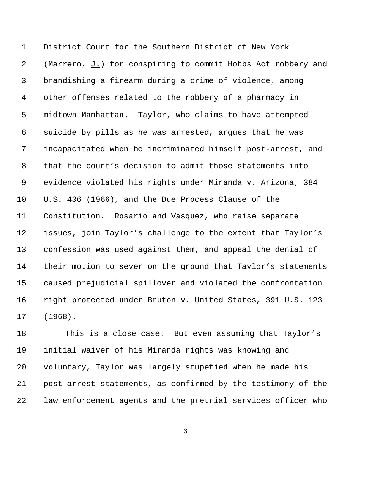District Court for the Southern District of New York (Marrero, J.) for conspiring to commit Hobbs Act robbery and brandishing a firearm during a crime of violence, among other offenses related to the robbery of a pharmacy in midtown Manhattan. Taylor, who claims to have attempted suicide by pills as he was arrested, argues that he was incapacitated when he incriminated himself post-arrest, and that the court's decision to admit those statements into 9 evidence violated his rights under Miranda v. Arizona, 384 U.S. 436 (1966), and the Due Process Clause of the Constitution. Rosario and Vasquez, who raise separate issues, join Taylor's challenge to the extent that Taylor's confession was used against them, and appeal the denial of their motion to sever on the ground that Taylor's statements caused prejudicial spillover and violated the confrontation 16 right protected under Bruton v. United States, 391 U.S. 123 (1968).

 This is a close case. But even assuming that Taylor's initial waiver of his Miranda rights was knowing and voluntary, Taylor was largely stupefied when he made his post-arrest statements, as confirmed by the testimony of the law enforcement agents and the pretrial services officer who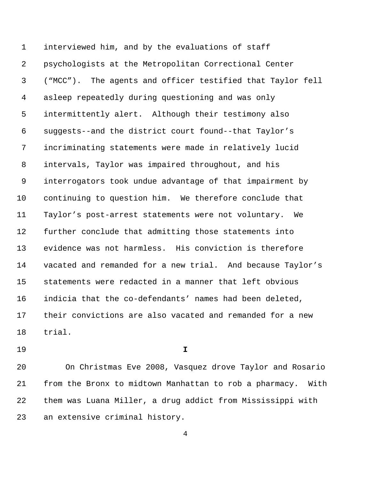interviewed him, and by the evaluations of staff psychologists at the Metropolitan Correctional Center ("MCC"). The agents and officer testified that Taylor fell asleep repeatedly during questioning and was only intermittently alert. Although their testimony also suggests--and the district court found--that Taylor's incriminating statements were made in relatively lucid intervals, Taylor was impaired throughout, and his interrogators took undue advantage of that impairment by continuing to question him. We therefore conclude that Taylor's post-arrest statements were not voluntary. We further conclude that admitting those statements into evidence was not harmless. His conviction is therefore vacated and remanded for a new trial. And because Taylor's statements were redacted in a manner that left obvious indicia that the co-defendants' names had been deleted, their convictions are also vacated and remanded for a new trial.

**I**

 On Christmas Eve 2008, Vasquez drove Taylor and Rosario from the Bronx to midtown Manhattan to rob a pharmacy. With them was Luana Miller, a drug addict from Mississippi with an extensive criminal history.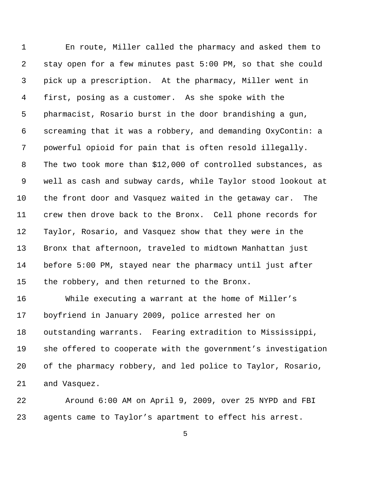En route, Miller called the pharmacy and asked them to stay open for a few minutes past 5:00 PM, so that she could pick up a prescription. At the pharmacy, Miller went in first, posing as a customer. As she spoke with the pharmacist, Rosario burst in the door brandishing a gun, screaming that it was a robbery, and demanding OxyContin: a powerful opioid for pain that is often resold illegally. The two took more than \$12,000 of controlled substances, as well as cash and subway cards, while Taylor stood lookout at the front door and Vasquez waited in the getaway car. The crew then drove back to the Bronx. Cell phone records for Taylor, Rosario, and Vasquez show that they were in the Bronx that afternoon, traveled to midtown Manhattan just before 5:00 PM, stayed near the pharmacy until just after the robbery, and then returned to the Bronx. While executing a warrant at the home of Miller's

 boyfriend in January 2009, police arrested her on outstanding warrants. Fearing extradition to Mississippi, she offered to cooperate with the government's investigation of the pharmacy robbery, and led police to Taylor, Rosario, and Vasquez.

 Around 6:00 AM on April 9, 2009, over 25 NYPD and FBI agents came to Taylor's apartment to effect his arrest.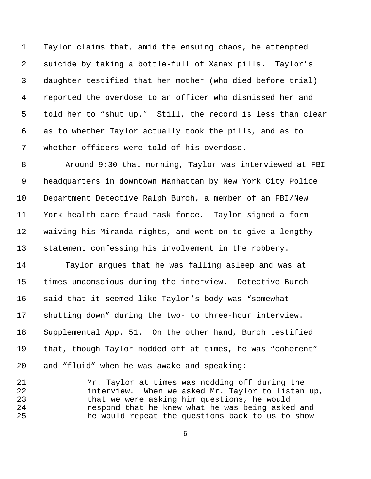Taylor claims that, amid the ensuing chaos, he attempted suicide by taking a bottle-full of Xanax pills. Taylor's daughter testified that her mother (who died before trial) reported the overdose to an officer who dismissed her and told her to "shut up." Still, the record is less than clear as to whether Taylor actually took the pills, and as to whether officers were told of his overdose.

 Around 9:30 that morning, Taylor was interviewed at FBI headquarters in downtown Manhattan by New York City Police Department Detective Ralph Burch, a member of an FBI/New York health care fraud task force. Taylor signed a form 12 waiving his Miranda rights, and went on to give a lengthy statement confessing his involvement in the robbery.

 Taylor argues that he was falling asleep and was at times unconscious during the interview. Detective Burch said that it seemed like Taylor's body was "somewhat shutting down" during the two- to three-hour interview. Supplemental App. 51. On the other hand, Burch testified that, though Taylor nodded off at times, he was "coherent" and "fluid" when he was awake and speaking:

 Mr. Taylor at times was nodding off during the interview. When we asked Mr. Taylor to listen up, that we were asking him questions, he would respond that he knew what he was being asked and he would repeat the questions back to us to show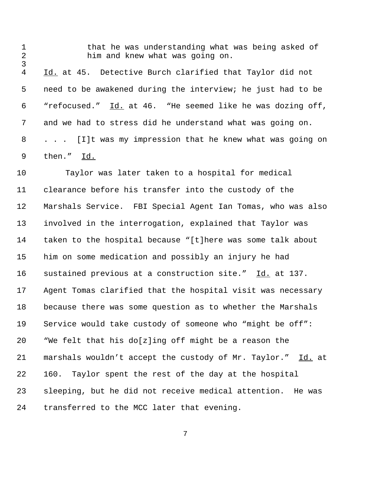him and knew what was going on. 4 Id. at 45. Detective Burch clarified that Taylor did not need to be awakened during the interview; he just had to be 6 "refocused." Id. at 46. "He seemed like he was dozing off, and we had to stress did he understand what was going on. . . . [I]t was my impression that he knew what was going on then." Id.

that he was understanding what was being asked of

 Taylor was later taken to a hospital for medical clearance before his transfer into the custody of the Marshals Service. FBI Special Agent Ian Tomas, who was also involved in the interrogation, explained that Taylor was taken to the hospital because "[t]here was some talk about him on some medication and possibly an injury he had sustained previous at a construction site." Id. at 137. Agent Tomas clarified that the hospital visit was necessary because there was some question as to whether the Marshals Service would take custody of someone who "might be off": "We felt that his do[z]ing off might be a reason the marshals wouldn't accept the custody of Mr. Taylor." Id. at 160. Taylor spent the rest of the day at the hospital sleeping, but he did not receive medical attention. He was transferred to the MCC later that evening.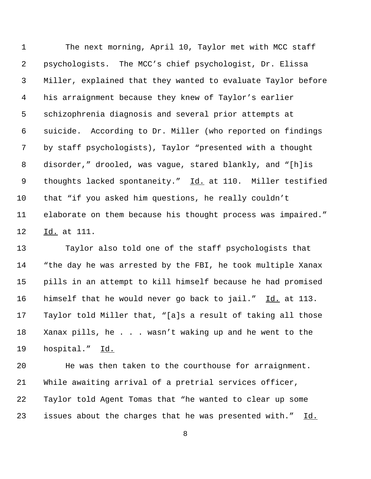The next morning, April 10, Taylor met with MCC staff psychologists. The MCC's chief psychologist, Dr. Elissa Miller, explained that they wanted to evaluate Taylor before his arraignment because they knew of Taylor's earlier schizophrenia diagnosis and several prior attempts at suicide. According to Dr. Miller (who reported on findings by staff psychologists), Taylor "presented with a thought disorder," drooled, was vague, stared blankly, and "[h]is 9 thoughts lacked spontaneity." Id. at 110. Miller testified that "if you asked him questions, he really couldn't elaborate on them because his thought process was impaired." 12 Id. at 111.

 Taylor also told one of the staff psychologists that "the day he was arrested by the FBI, he took multiple Xanax pills in an attempt to kill himself because he had promised 16 himself that he would never go back to jail." Id. at 113. Taylor told Miller that, "[a]s a result of taking all those Xanax pills, he . . . wasn't waking up and he went to the hospital." Id.

 He was then taken to the courthouse for arraignment. While awaiting arrival of a pretrial services officer, Taylor told Agent Tomas that "he wanted to clear up some issues about the charges that he was presented with." Id.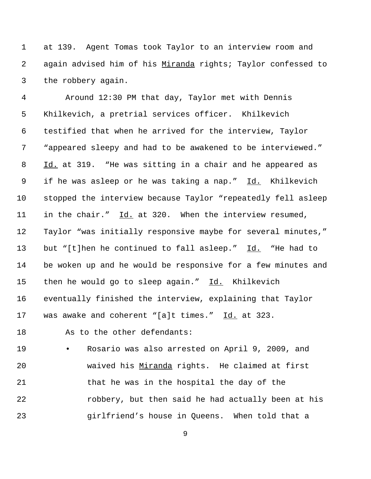at 139. Agent Tomas took Taylor to an interview room and again advised him of his Miranda rights; Taylor confessed to the robbery again.

 Around 12:30 PM that day, Taylor met with Dennis Khilkevich, a pretrial services officer. Khilkevich testified that when he arrived for the interview, Taylor "appeared sleepy and had to be awakened to be interviewed." Id. at 319. "He was sitting in a chair and he appeared as if he was asleep or he was taking a nap." Id. Khilkevich stopped the interview because Taylor "repeatedly fell asleep in the chair." Id. at 320. When the interview resumed, Taylor "was initially responsive maybe for several minutes," 13 but "[t]hen he continued to fall asleep." Id. "He had to be woken up and he would be responsive for a few minutes and 15 then he would go to sleep again." Id. Khilkevich eventually finished the interview, explaining that Taylor 17 was awake and coherent "[a]t times." Id. at 323.

18 As to the other defendants:

 • Rosario was also arrested on April 9, 2009, and **waived his Miranda rights.** He claimed at first 21 that he was in the hospital the day of the robbery, but then said he had actually been at his girlfriend's house in Queens. When told that a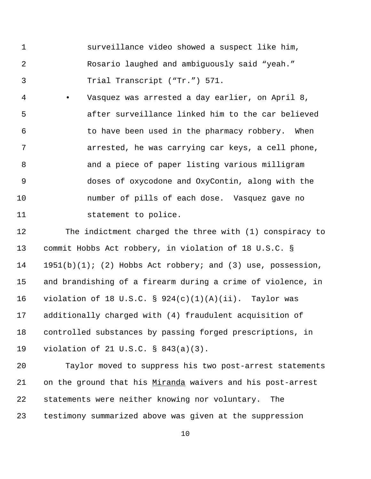surveillance video showed a suspect like him, Rosario laughed and ambiguously said "yeah." Trial Transcript ("Tr.") 571.

 • Vasquez was arrested a day earlier, on April 8, after surveillance linked him to the car believed to have been used in the pharmacy robbery. When arrested, he was carrying car keys, a cell phone, 8 and a piece of paper listing various milligram doses of oxycodone and OxyContin, along with the number of pills of each dose. Vasquez gave no statement to police.

 The indictment charged the three with (1) conspiracy to commit Hobbs Act robbery, in violation of 18 U.S.C. § 1951(b)(1); (2) Hobbs Act robbery; and (3) use, possession, and brandishing of a firearm during a crime of violence, in violation of 18 U.S.C. § 924(c)(1)(A)(ii). Taylor was additionally charged with (4) fraudulent acquisition of controlled substances by passing forged prescriptions, in violation of 21 U.S.C. § 843(a)(3).

 Taylor moved to suppress his two post-arrest statements on the ground that his Miranda waivers and his post-arrest statements were neither knowing nor voluntary. The testimony summarized above was given at the suppression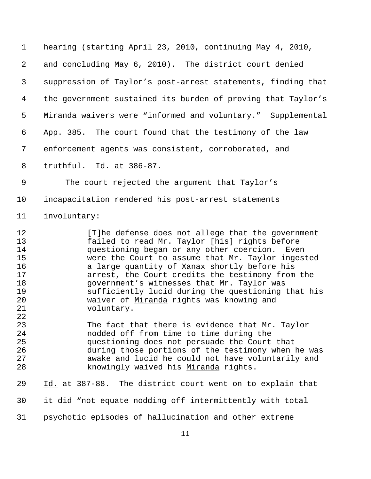hearing (starting April 23, 2010, continuing May 4, 2010, and concluding May 6, 2010). The district court denied suppression of Taylor's post-arrest statements, finding that the government sustained its burden of proving that Taylor's 5 Miranda waivers were "informed and voluntary." Supplemental App. 385. The court found that the testimony of the law enforcement agents was consistent, corroborated, and truthful. Id. at 386-87. The court rejected the argument that Taylor's incapacitation rendered his post-arrest statements involuntary: [T]he defense does not allege that the government failed to read Mr. Taylor [his] rights before questioning began or any other coercion. Even were the Court to assume that Mr. Taylor ingested a large quantity of Xanax shortly before his arrest, the Court credits the testimony from the government's witnesses that Mr. Taylor was sufficiently lucid during the questioning that his waiver of Miranda rights was knowing and voluntary. The fact that there is evidence that Mr. Taylor nodded off from time to time during the questioning does not persuade the Court that during those portions of the testimony when he was awake and lucid he could not have voluntarily and 28 knowingly waived his Miranda rights. Id. at 387-88. The district court went on to explain that it did "not equate nodding off intermittently with total psychotic episodes of hallucination and other extreme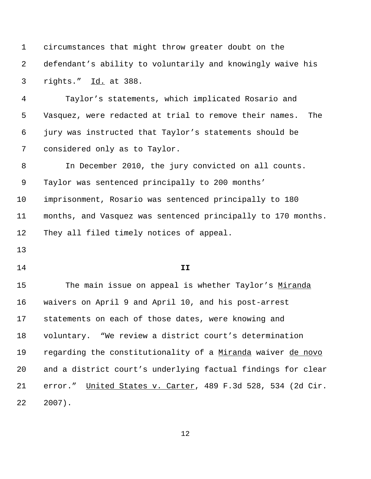circumstances that might throw greater doubt on the defendant's ability to voluntarily and knowingly waive his rights." Id. at 388. Taylor's statements, which implicated Rosario and Vasquez, were redacted at trial to remove their names. The jury was instructed that Taylor's statements should be considered only as to Taylor. In December 2010, the jury convicted on all counts. Taylor was sentenced principally to 200 months' imprisonment, Rosario was sentenced principally to 180 months, and Vasquez was sentenced principally to 170 months. They all filed timely notices of appeal. **II** 15 The main issue on appeal is whether Taylor's Miranda waivers on April 9 and April 10, and his post-arrest statements on each of those dates, were knowing and voluntary. "We review a district court's determination regarding the constitutionality of a Miranda waiver de novo and a district court's underlying factual findings for clear error." United States v. Carter, 489 F.3d 528, 534 (2d Cir. 2007).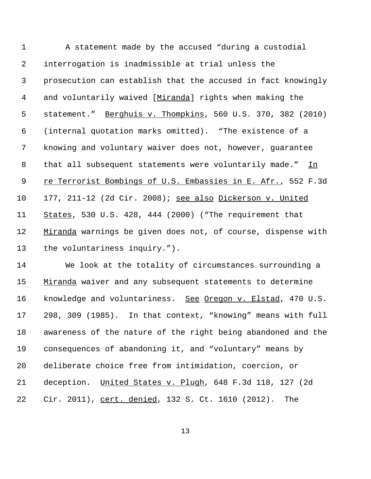| $\mathbf 1$    | A statement made by the accused "during a custodial          |
|----------------|--------------------------------------------------------------|
| 2              | interrogation is inadmissible at trial unless the            |
| 3              | prosecution can establish that the accused in fact knowingly |
| 4              | and voluntarily waived [Miranda] rights when making the      |
| 5              | statement." Berghuis v. Thompkins, 560 U.S. 370, 382 (2010)  |
| 6              | (internal quotation marks omitted). "The existence of a      |
| 7              | knowing and voluntary waiver does not, however, guarantee    |
| 8              | that all subsequent statements were voluntarily made."<br>In |
| $\overline{9}$ | re Terrorist Bombings of U.S. Embassies in E. Afr., 552 F.3d |
| 10             | 177, 211-12 (2d Cir. 2008); see also Dickerson v. United     |
| 11             | States, 530 U.S. 428, 444 (2000) ("The requirement that      |
| 12             | Miranda warnings be given does not, of course, dispense with |
| 13             | the voluntariness inquiry.").                                |
| 14             | We look at the totality of circumstances surrounding a       |

15 Miranda waiver and any subsequent statements to determine 16 knowledge and voluntariness. See Oregon v. Elstad, 470 U.S. 298, 309 (1985). In that context, "knowing" means with full awareness of the nature of the right being abandoned and the consequences of abandoning it, and "voluntary" means by deliberate choice free from intimidation, coercion, or deception. United States v. Plugh, 648 F.3d 118, 127 (2d Cir. 2011), cert. denied, 132 S. Ct. 1610 (2012). The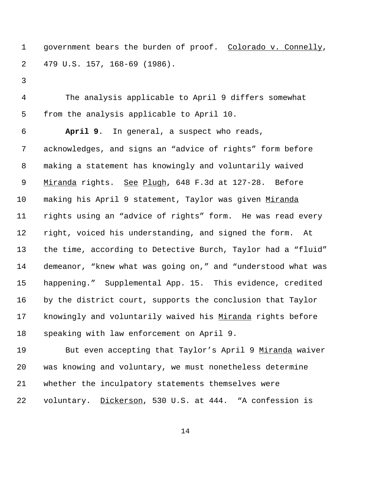1 government bears the burden of proof. Colorado v. Connelly, 479 U.S. 157, 168-69 (1986).

 The analysis applicable to April 9 differs somewhat from the analysis applicable to April 10.

 **April 9**. In general, a suspect who reads, acknowledges, and signs an "advice of rights" form before making a statement has knowingly and voluntarily waived 9 Miranda rights. See Plugh, 648 F.3d at 127-28. Before 10 making his April 9 statement, Taylor was given Miranda rights using an "advice of rights" form. He was read every right, voiced his understanding, and signed the form. At the time, according to Detective Burch, Taylor had a "fluid" demeanor, "knew what was going on," and "understood what was happening." Supplemental App. 15. This evidence, credited by the district court, supports the conclusion that Taylor knowingly and voluntarily waived his Miranda rights before speaking with law enforcement on April 9.

19 But even accepting that Taylor's April 9 Miranda waiver was knowing and voluntary, we must nonetheless determine whether the inculpatory statements themselves were voluntary. Dickerson, 530 U.S. at 444. "A confession is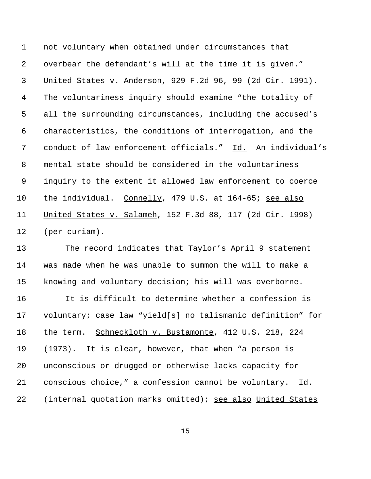not voluntary when obtained under circumstances that overbear the defendant's will at the time it is given." United States v. Anderson, 929 F.2d 96, 99 (2d Cir. 1991). The voluntariness inquiry should examine "the totality of all the surrounding circumstances, including the accused's characteristics, the conditions of interrogation, and the conduct of law enforcement officials." Id. An individual's mental state should be considered in the voluntariness inquiry to the extent it allowed law enforcement to coerce the individual. Connelly, 479 U.S. at 164-65; see also United States v. Salameh, 152 F.3d 88, 117 (2d Cir. 1998) (per curiam).

 The record indicates that Taylor's April 9 statement was made when he was unable to summon the will to make a knowing and voluntary decision; his will was overborne.

 It is difficult to determine whether a confession is voluntary; case law "yield[s] no talismanic definition" for 18 the term. Schneckloth v. Bustamonte, 412 U.S. 218, 224 (1973). It is clear, however, that when "a person is unconscious or drugged or otherwise lacks capacity for conscious choice," a confession cannot be voluntary. Id. (internal quotation marks omitted); see also United States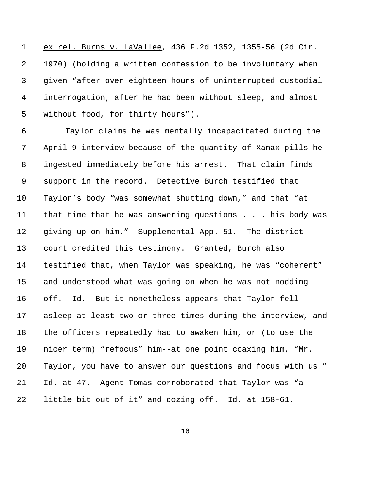ex rel. Burns v. LaVallee, 436 F.2d 1352, 1355-56 (2d Cir. 1970) (holding a written confession to be involuntary when given "after over eighteen hours of uninterrupted custodial interrogation, after he had been without sleep, and almost without food, for thirty hours").

 Taylor claims he was mentally incapacitated during the April 9 interview because of the quantity of Xanax pills he ingested immediately before his arrest. That claim finds support in the record. Detective Burch testified that Taylor's body "was somewhat shutting down," and that "at that time that he was answering questions . . . his body was giving up on him." Supplemental App. 51. The district court credited this testimony. Granted, Burch also testified that, when Taylor was speaking, he was "coherent" and understood what was going on when he was not nodding 16 off. Id. But it nonetheless appears that Taylor fell asleep at least two or three times during the interview, and the officers repeatedly had to awaken him, or (to use the nicer term) "refocus" him--at one point coaxing him, "Mr. Taylor, you have to answer our questions and focus with us." Id. at 47. Agent Tomas corroborated that Taylor was "a little bit out of it" and dozing off. Id. at 158-61.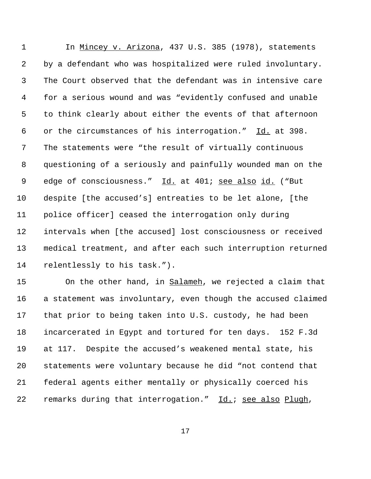In Mincey v. Arizona, 437 U.S. 385 (1978), statements by a defendant who was hospitalized were ruled involuntary. The Court observed that the defendant was in intensive care for a serious wound and was "evidently confused and unable to think clearly about either the events of that afternoon or the circumstances of his interrogation." Id. at 398. The statements were "the result of virtually continuous questioning of a seriously and painfully wounded man on the edge of consciousness." Id. at 401; see also id. ("But despite [the accused's] entreaties to be let alone, [the police officer] ceased the interrogation only during intervals when [the accused] lost consciousness or received medical treatment, and after each such interruption returned relentlessly to his task.").

15 On the other hand, in Salameh, we rejected a claim that a statement was involuntary, even though the accused claimed that prior to being taken into U.S. custody, he had been incarcerated in Egypt and tortured for ten days. 152 F.3d at 117. Despite the accused's weakened mental state, his statements were voluntary because he did "not contend that federal agents either mentally or physically coerced his remarks during that interrogation." Id.; see also Plugh,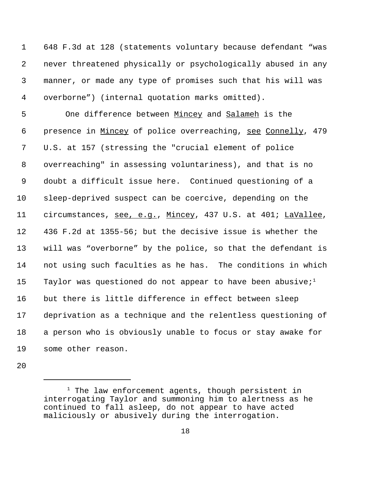648 F.3d at 128 (statements voluntary because defendant "was never threatened physically or psychologically abused in any manner, or made any type of promises such that his will was overborne") (internal quotation marks omitted).

 One difference between Mincey and Salameh is the presence in Mincey of police overreaching, see Connelly, 479 U.S. at 157 (stressing the "crucial element of police overreaching" in assessing voluntariness), and that is no doubt a difficult issue here. Continued questioning of a sleep-deprived suspect can be coercive, depending on the circumstances, see, e.g., Mincey, 437 U.S. at 401; LaVallee, 436 F.2d at 1355-56; but the decisive issue is whether the will was "overborne" by the police, so that the defendant is not using such faculties as he has. The conditions in which 15 Taylor was questioned do not appear to have been abusive;<sup>1</sup> but there is little difference in effect between sleep deprivation as a technique and the relentless questioning of a person who is obviously unable to focus or stay awake for some other reason.

 The law enforcement agents, though persistent in interrogating Taylor and summoning him to alertness as he continued to fall asleep, do not appear to have acted maliciously or abusively during the interrogation.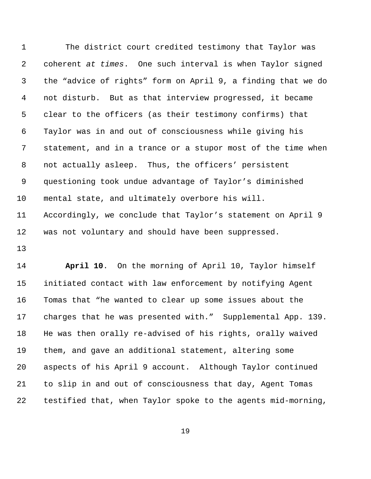The district court credited testimony that Taylor was coherent *at times*. One such interval is when Taylor signed the "advice of rights" form on April 9, a finding that we do not disturb. But as that interview progressed, it became clear to the officers (as their testimony confirms) that Taylor was in and out of consciousness while giving his statement, and in a trance or a stupor most of the time when not actually asleep. Thus, the officers' persistent questioning took undue advantage of Taylor's diminished mental state, and ultimately overbore his will. Accordingly, we conclude that Taylor's statement on April 9 was not voluntary and should have been suppressed.

 **April 10**. On the morning of April 10, Taylor himself initiated contact with law enforcement by notifying Agent Tomas that "he wanted to clear up some issues about the charges that he was presented with." Supplemental App. 139. He was then orally re-advised of his rights, orally waived them, and gave an additional statement, altering some aspects of his April 9 account. Although Taylor continued to slip in and out of consciousness that day, Agent Tomas testified that, when Taylor spoke to the agents mid-morning,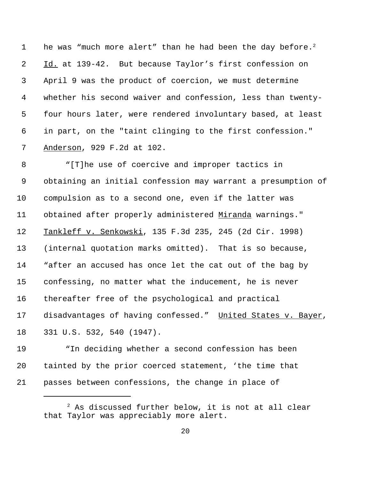1 be was "much more alert" than he had been the day before.<sup>2</sup> Id. at 139-42. But because Taylor's first confession on April 9 was the product of coercion, we must determine whether his second waiver and confession, less than twenty- four hours later, were rendered involuntary based, at least in part, on the "taint clinging to the first confession." Anderson, 929 F.2d at 102.

 "[T]he use of coercive and improper tactics in obtaining an initial confession may warrant a presumption of compulsion as to a second one, even if the latter was obtained after properly administered Miranda warnings." Tankleff v. Senkowski, 135 F.3d 235, 245 (2d Cir. 1998) (internal quotation marks omitted). That is so because, "after an accused has once let the cat out of the bag by confessing, no matter what the inducement, he is never thereafter free of the psychological and practical 17 disadvantages of having confessed." United States v. Bayer, 331 U.S. 532, 540 (1947).

 "In deciding whether a second confession has been tainted by the prior coerced statement, 'the time that passes between confessions, the change in place of

 As discussed further below, it is not at all clear that Taylor was appreciably more alert.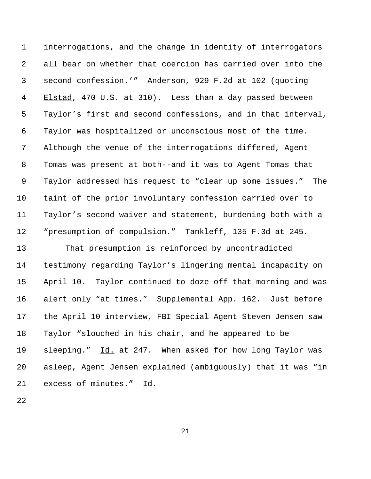interrogations, and the change in identity of interrogators all bear on whether that coercion has carried over into the second confession.'" Anderson, 929 F.2d at 102 (quoting 4 Elstad, 470 U.S. at 310). Less than a day passed between Taylor's first and second confessions, and in that interval, Taylor was hospitalized or unconscious most of the time. Although the venue of the interrogations differed, Agent Tomas was present at both--and it was to Agent Tomas that Taylor addressed his request to "clear up some issues." The taint of the prior involuntary confession carried over to Taylor's second waiver and statement, burdening both with a 12 "presumption of compulsion." Tankleff, 135 F.3d at 245.

 That presumption is reinforced by uncontradicted testimony regarding Taylor's lingering mental incapacity on April 10. Taylor continued to doze off that morning and was alert only "at times." Supplemental App. 162.Just before the April 10 interview, FBI Special Agent Steven Jensen saw Taylor "slouched in his chair, and he appeared to be sleeping." Id. at 247. When asked for how long Taylor was asleep, Agent Jensen explained (ambiguously) that it was "in excess of minutes." Id.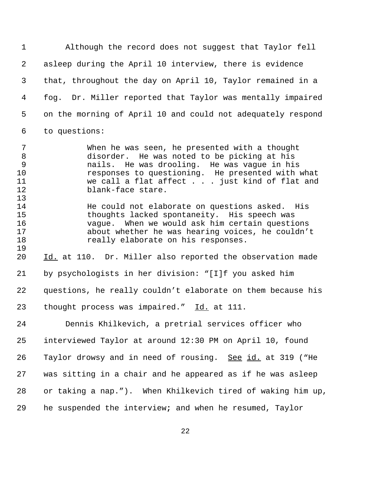Although the record does not suggest that Taylor fell asleep during the April 10 interview, there is evidence that, throughout the day on April 10, Taylor remained in a fog. Dr. Miller reported that Taylor was mentally impaired on the morning of April 10 and could not adequately respond to questions:

 When he was seen, he presented with a thought disorder. He was noted to be picking at his nails. He was drooling. He was vague in his responses to questioning. He presented with what we call a flat affect . . . just kind of flat and blank-face stare.

 He could not elaborate on questions asked. His thoughts lacked spontaneity. His speech was vague. When we would ask him certain questions about whether he was hearing voices, he couldn't really elaborate on his responses.

 Id. at 110. Dr. Miller also reported the observation made by psychologists in her division: "[I]f you asked him questions, he really couldn't elaborate on them because his 23 thought process was impaired." Id. at 111.

 Dennis Khilkevich, a pretrial services officer who interviewed Taylor at around 12:30 PM on April 10, found 26 Taylor drowsy and in need of rousing. See id. at 319 ("He was sitting in a chair and he appeared as if he was asleep or taking a nap."). When Khilkevich tired of waking him up, he suspended the interview**;** and when he resumed, Taylor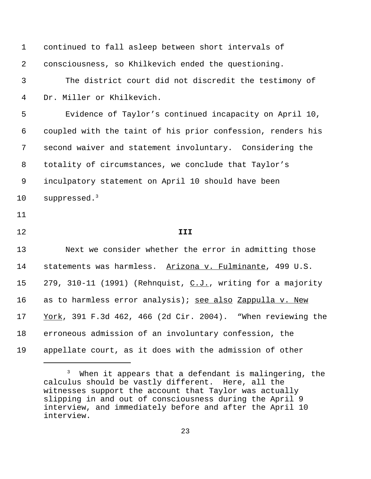| $\mathbf{1}$ | continued to fall asleep between short intervals of         |
|--------------|-------------------------------------------------------------|
| 2            | consciousness, so Khilkevich ended the questioning.         |
| 3            | The district court did not discredit the testimony of       |
| 4            | Dr. Miller or Khilkevich.                                   |
| 5            | Evidence of Taylor's continued incapacity on April 10,      |
| 6            | coupled with the taint of his prior confession, renders his |
| 7            | second waiver and statement involuntary. Considering the    |
| 8            | totality of circumstances, we conclude that Taylor's        |
| 9            | inculpatory statement on April 10 should have been          |
| 10           | suppressed. $3$                                             |
| 11           |                                                             |
| 12           | III                                                         |
| 13           | Next we consider whether the error in admitting those       |
| 14           | statements was harmless. Arizona v. Fulminante, 499 U.S.    |
| 15           | 279, 310-11 (1991) (Rehnquist, C.J., writing for a majority |
| 16           | as to harmless error analysis); see also Zappulla v. New    |
| 17           | York, 391 F.3d 462, 466 (2d Cir. 2004). "When reviewing the |
| 18           | erroneous admission of an involuntary confession, the       |
| 19           | appellate court, as it does with the admission of other     |
|              |                                                             |

 <sup>3</sup> When it appears that a defendant is malingering, the calculus should be vastly different. Here, all the witnesses support the account that Taylor was actually slipping in and out of consciousness during the April 9 interview, and immediately before and after the April 10 interview.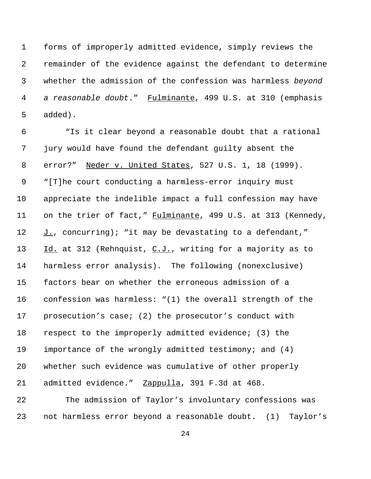forms of improperly admitted evidence, simply reviews the remainder of the evidence against the defendant to determine whether the admission of the confession was harmless *beyond a reasonable doubt*." Fulminante, 499 U.S. at 310 (emphasis added).

 "Is it clear beyond a reasonable doubt that a rational jury would have found the defendant guilty absent the error?" Neder v. United States, 527 U.S. 1, 18 (1999). "[T]he court conducting a harmless-error inquiry must appreciate the indelible impact a full confession may have 11 on the trier of fact," Fulminante, 499 U.S. at 313 (Kennedy,  $J.$ , concurring); "it may be devastating to a defendant," 13 Id. at 312 (Rehnquist, C.J., writing for a majority as to harmless error analysis). The following (nonexclusive) factors bear on whether the erroneous admission of a confession was harmless: "(1) the overall strength of the prosecution's case; (2) the prosecutor's conduct with respect to the improperly admitted evidence; (3) the importance of the wrongly admitted testimony; and (4) whether such evidence was cumulative of other properly 21 admitted evidence." Zappulla, 391 F.3d at 468.

 The admission of Taylor's involuntary confessions was not harmless error beyond a reasonable doubt. (1) Taylor's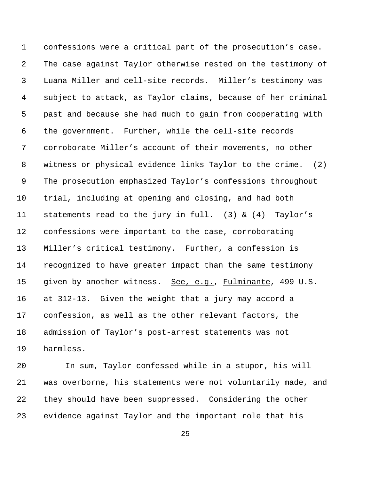confessions were a critical part of the prosecution's case. The case against Taylor otherwise rested on the testimony of Luana Miller and cell-site records. Miller's testimony was subject to attack, as Taylor claims, because of her criminal past and because she had much to gain from cooperating with the government. Further, while the cell-site records corroborate Miller's account of their movements, no other witness or physical evidence links Taylor to the crime. (2) The prosecution emphasized Taylor's confessions throughout trial, including at opening and closing, and had both statements read to the jury in full. (3) & (4) Taylor's confessions were important to the case, corroborating Miller's critical testimony. Further, a confession is recognized to have greater impact than the same testimony given by another witness. See, e.g., Fulminante, 499 U.S. at 312-13. Given the weight that a jury may accord a confession, as well as the other relevant factors, the admission of Taylor's post-arrest statements was not harmless.

 In sum, Taylor confessed while in a stupor, his will was overborne, his statements were not voluntarily made, and they should have been suppressed. Considering the other evidence against Taylor and the important role that his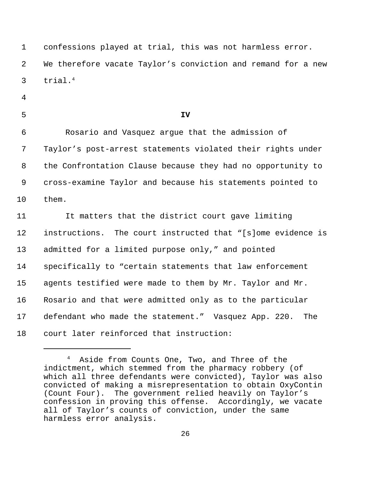confessions played at trial, this was not harmless error. We therefore vacate Taylor's conviction and remand for a new trial.<sup>4</sup>

- 
- 

**IV**

 Rosario and Vasquez argue that the admission of Taylor's post-arrest statements violated their rights under the Confrontation Clause because they had no opportunity to cross-examine Taylor and because his statements pointed to them.

11 It matters that the district court gave limiting instructions. The court instructed that "[s]ome evidence is admitted for a limited purpose only," and pointed specifically to "certain statements that law enforcement agents testified were made to them by Mr. Taylor and Mr. Rosario and that were admitted only as to the particular defendant who made the statement." Vasquez App. 220. The court later reinforced that instruction:

Aside from Counts One, Two, and Three of the indictment, which stemmed from the pharmacy robbery (of which all three defendants were convicted), Taylor was also convicted of making a misrepresentation to obtain OxyContin (Count Four). The government relied heavily on Taylor's confession in proving this offense. Accordingly, we vacate all of Taylor's counts of conviction, under the same harmless error analysis.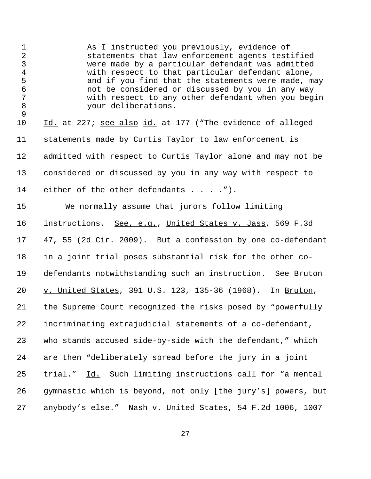As I instructed you previously, evidence of statements that law enforcement agents testified were made by a particular defendant was admitted with respect to that particular defendant alone, and if you find that the statements were made, may not be considered or discussed by you in any way with respect to any other defendant when you begin your deliberations. 10 Id. at 227; see also id. at 177 ("The evidence of alleged statements made by Curtis Taylor to law enforcement is admitted with respect to Curtis Taylor alone and may not be considered or discussed by you in any way with respect to 14 either of the other defendants . . . . "). We normally assume that jurors follow limiting instructions. See, e.g., United States v. Jass, 569 F.3d 47, 55 (2d Cir. 2009). But a confession by one co-defendant in a joint trial poses substantial risk for the other co- defendants notwithstanding such an instruction. See Bruton 20 v. United States, 391 U.S. 123, 135-36 (1968). In Bruton, the Supreme Court recognized the risks posed by "powerfully incriminating extrajudicial statements of a co-defendant, who stands accused side-by-side with the defendant," which are then "deliberately spread before the jury in a joint trial." Id. Such limiting instructions call for "a mental gymnastic which is beyond, not only [the jury's] powers, but anybody's else." Nash v. United States, 54 F.2d 1006, 1007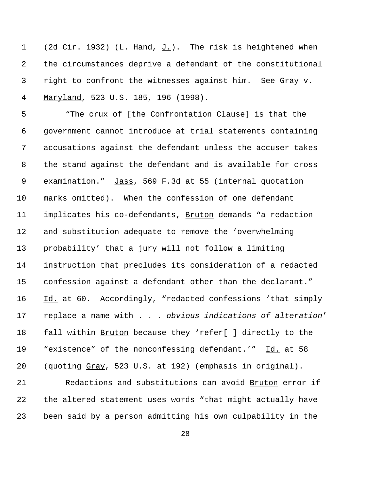1 (2d Cir. 1932) (L. Hand, J.). The risk is heightened when the circumstances deprive a defendant of the constitutional right to confront the witnesses against him. See Gray v. Maryland, 523 U.S. 185, 196 (1998).

 "The crux of [the Confrontation Clause] is that the government cannot introduce at trial statements containing accusations against the defendant unless the accuser takes the stand against the defendant and is available for cross examination." Jass, 569 F.3d at 55 (internal quotation marks omitted). When the confession of one defendant implicates his co-defendants, Bruton demands "a redaction and substitution adequate to remove the 'overwhelming probability' that a jury will not follow a limiting instruction that precludes its consideration of a redacted confession against a defendant other than the declarant." 16 Id. at 60. Accordingly, "redacted confessions 'that simply replace a name with . . . *obvious indications of alteration*' fall within Bruton because they 'refer[ ] directly to the 19 "existence" of the nonconfessing defendant.'" Id. at 58 (quoting Gray, 523 U.S. at 192) (emphasis in original).

 Redactions and substitutions can avoid Bruton error if the altered statement uses words "that might actually have been said by a person admitting his own culpability in the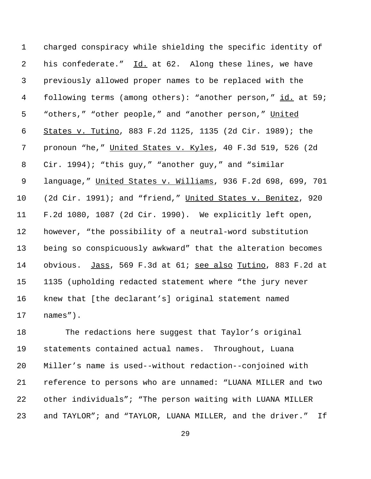charged conspiracy while shielding the specific identity of his confederate." Id. at 62. Along these lines, we have previously allowed proper names to be replaced with the 4 following terms (among others): "another person," id. at 59; 5 "others," "other people," and "another person," United States v. Tutino, 883 F.2d 1125, 1135 (2d Cir. 1989); the pronoun "he," United States v. Kyles, 40 F.3d 519, 526 (2d Cir. 1994); "this guy," "another guy," and "similar language," United States v. Williams, 936 F.2d 698, 699, 701 (2d Cir. 1991); and "friend," United States v. Benitez, 920 F.2d 1080, 1087 (2d Cir. 1990). We explicitly left open, however, "the possibility of a neutral-word substitution being so conspicuously awkward" that the alteration becomes 14 obvious. Jass, 569 F.3d at 61; see also Tutino, 883 F.2d at 1135 (upholding redacted statement where "the jury never knew that [the declarant's] original statement named names").

 The redactions here suggest that Taylor's original statements contained actual names. Throughout, Luana Miller's name is used--without redaction--conjoined with reference to persons who are unnamed: "LUANA MILLER and two other individuals"; "The person waiting with LUANA MILLER and TAYLOR"; and "TAYLOR, LUANA MILLER, and the driver." If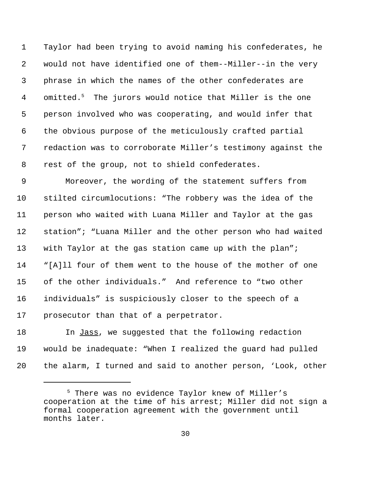Taylor had been trying to avoid naming his confederates, he would not have identified one of them--Miller--in the very phrase in which the names of the other confederates are 4 omitted.<sup>5</sup> The jurors would notice that Miller is the one person involved who was cooperating, and would infer that the obvious purpose of the meticulously crafted partial redaction was to corroborate Miller's testimony against the rest of the group, not to shield confederates.

 Moreover, the wording of the statement suffers from stilted circumlocutions: "The robbery was the idea of the person who waited with Luana Miller and Taylor at the gas station"; "Luana Miller and the other person who had waited with Taylor at the gas station came up with the plan"; "[A]ll four of them went to the house of the mother of one of the other individuals." And reference to "two other individuals" is suspiciously closer to the speech of a prosecutor than that of a perpetrator.

18 In Jass, we suggested that the following redaction would be inadequate: "When I realized the guard had pulled the alarm, I turned and said to another person, 'Look, other

 <sup>5</sup> There was no evidence Taylor knew of Miller's cooperation at the time of his arrest; Miller did not sign a formal cooperation agreement with the government until months later.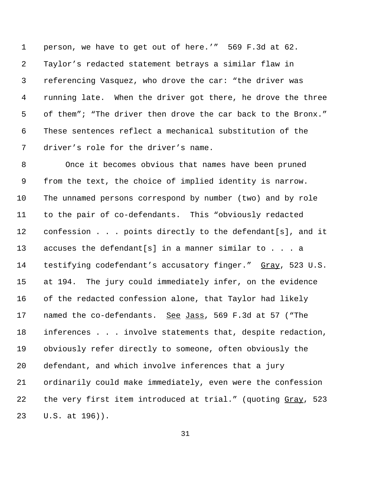person, we have to get out of here.'" 569 F.3d at 62. Taylor's redacted statement betrays a similar flaw in referencing Vasquez, who drove the car: "the driver was running late. When the driver got there, he drove the three of them"; "The driver then drove the car back to the Bronx." These sentences reflect a mechanical substitution of the driver's role for the driver's name.

 Once it becomes obvious that names have been pruned from the text, the choice of implied identity is narrow. The unnamed persons correspond by number (two) and by role to the pair of co-defendants. This "obviously redacted confession . . . points directly to the defendant[s], and it accuses the defendant[s] in a manner similar to . . . a 14 testifying codefendant's accusatory finger." Gray, 523 U.S. at 194. The jury could immediately infer, on the evidence of the redacted confession alone, that Taylor had likely 17 named the co-defendants. See Jass, 569 F.3d at 57 ("The inferences . . . involve statements that, despite redaction, obviously refer directly to someone, often obviously the defendant, and which involve inferences that a jury ordinarily could make immediately, even were the confession 22 the very first item introduced at trial." (quoting Gray, 523 U.S. at 196)).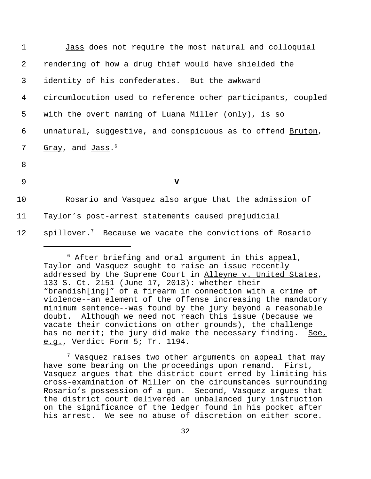| $\mathbf{1}$   | Jass does not require the most natural and colloquial                |
|----------------|----------------------------------------------------------------------|
| $\overline{2}$ | rendering of how a drug thief would have shielded the                |
| 3              | identity of his confederates. But the awkward                        |
| 4              | circumlocution used to reference other participants, coupled         |
| 5              | with the overt naming of Luana Miller (only), is so                  |
| 6              | unnatural, suggestive, and conspicuous as to offend Bruton,          |
| 7              | Gray, and Jass. <sup>6</sup>                                         |
| 8              |                                                                      |
| 9              | v                                                                    |
| 10             | Rosario and Vasquez also argue that the admission of                 |
| 11             | Taylor's post-arrest statements caused prejudicial                   |
| 12             | spillover. <sup>7</sup> Because we vacate the convictions of Rosario |
|                |                                                                      |

 $7$  Vasquez raises two other arguments on appeal that may have some bearing on the proceedings upon remand. First, Vasquez argues that the district court erred by limiting his cross-examination of Miller on the circumstances surrounding Rosario's possession of a gun. Second, Vasquez argues that the district court delivered an unbalanced jury instruction on the significance of the ledger found in his pocket after his arrest. We see no abuse of discretion on either score.

 $6$  After briefing and oral argument in this appeal, Taylor and Vasquez sought to raise an issue recently addressed by the Supreme Court in Alleyne v. United States, 133 S. Ct. 2151 (June 17, 2013): whether their "brandish[ing]" of a firearm in connection with a crime of violence--an element of the offense increasing the mandatory minimum sentence--was found by the jury beyond a reasonable doubt. Although we need not reach this issue (because we vacate their convictions on other grounds), the challenge has no merit; the jury did make the necessary finding. See, e.g., Verdict Form 5; Tr. 1194.